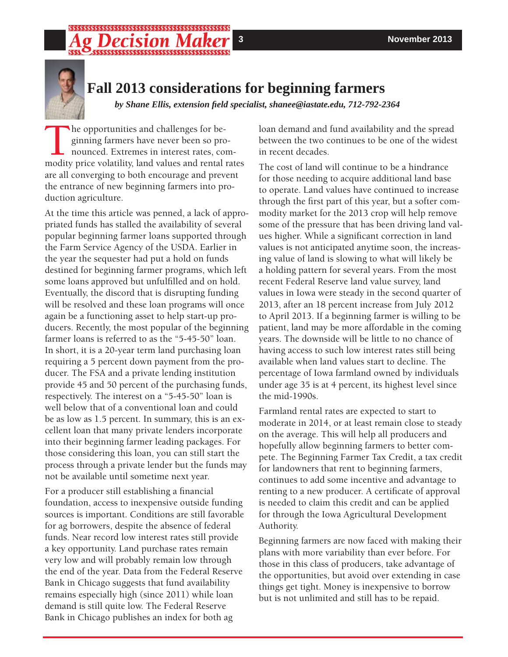# \$\$\$\$\$\$\$\$\$\$\$\$\$\$\$\$\$\$\$\$\$\$\$\$\$\$\$\$\$\$\$\$\$\$



# **Fall 2013 considerations for beginning farmers**

*by Shane Ellis, extension fi eld specialist, shanee@iastate.edu, 712-792-2364*

The opportunities and challenges for be-<br>ginning farmers have never been so pro<br>nounced. Extremes in interest rates, comodity price volatility land values and rental ginning farmers have never been so pronounced. Extremes in interest rates, commodity price volatility, land values and rental rates are all converging to both encourage and prevent the entrance of new beginning farmers into production agriculture.

At the time this article was penned, a lack of appropriated funds has stalled the availability of several popular beginning farmer loans supported through the Farm Service Agency of the USDA. Earlier in the year the sequester had put a hold on funds destined for beginning farmer programs, which left some loans approved but unfulfilled and on hold. Eventually, the discord that is disrupting funding will be resolved and these loan programs will once again be a functioning asset to help start-up producers. Recently, the most popular of the beginning farmer loans is referred to as the "5-45-50" loan. In short, it is a 20-year term land purchasing loan requiring a 5 percent down payment from the producer. The FSA and a private lending institution provide 45 and 50 percent of the purchasing funds, respectively. The interest on a "5-45-50" loan is well below that of a conventional loan and could be as low as 1.5 percent. In summary, this is an excellent loan that many private lenders incorporate into their beginning farmer leading packages. For those considering this loan, you can still start the process through a private lender but the funds may not be available until sometime next year.

For a producer still establishing a financial foundation, access to inexpensive outside funding sources is important. Conditions are still favorable for ag borrowers, despite the absence of federal funds. Near record low interest rates still provide a key opportunity. Land purchase rates remain very low and will probably remain low through the end of the year. Data from the Federal Reserve Bank in Chicago suggests that fund availability remains especially high (since 2011) while loan demand is still quite low. The Federal Reserve Bank in Chicago publishes an index for both ag

loan demand and fund availability and the spread between the two continues to be one of the widest in recent decades.

The cost of land will continue to be a hindrance for those needing to acquire additional land base to operate. Land values have continued to increase through the first part of this year, but a softer commodity market for the 2013 crop will help remove some of the pressure that has been driving land values higher. While a significant correction in land values is not anticipated anytime soon, the increasing value of land is slowing to what will likely be a holding pattern for several years. From the most recent Federal Reserve land value survey, land values in Iowa were steady in the second quarter of 2013, after an 18 percent increase from July 2012 to April 2013. If a beginning farmer is willing to be patient, land may be more affordable in the coming years. The downside will be little to no chance of having access to such low interest rates still being available when land values start to decline. The percentage of Iowa farmland owned by individuals under age 35 is at 4 percent, its highest level since the mid-1990s.

Farmland rental rates are expected to start to moderate in 2014, or at least remain close to steady on the average. This will help all producers and hopefully allow beginning farmers to better compete. The Beginning Farmer Tax Credit, a tax credit for landowners that rent to beginning farmers, continues to add some incentive and advantage to renting to a new producer. A certificate of approval is needed to claim this credit and can be applied for through the Iowa Agricultural Development Authority.

Beginning farmers are now faced with making their plans with more variability than ever before. For those in this class of producers, take advantage of the opportunities, but avoid over extending in case things get tight. Money is inexpensive to borrow but is not unlimited and still has to be repaid.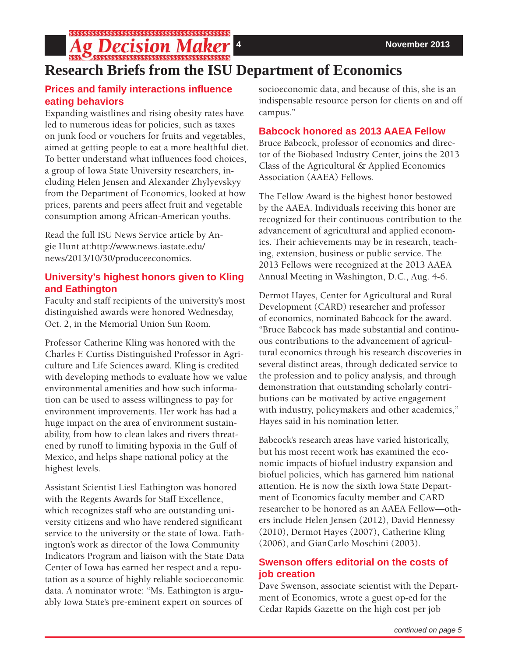**Ag Decision Maker** 

# **Research Briefs from the ISU Department of Economics**

# **Prices and family interactions infl uence eating behaviors**

Expanding waistlines and rising obesity rates have led to numerous ideas for policies, such as taxes on junk food or vouchers for fruits and vegetables, aimed at getting people to eat a more healthful diet. To better understand what influences food choices. a group of Iowa State University researchers, including Helen Jensen and Alexander Zhylyevskyy from the Department of Economics, looked at how prices, parents and peers affect fruit and vegetable consumption among African-American youths.

Read the full ISU News Service article by Angie Hunt at:http://www.news.iastate.edu/ news/2013/10/30/produceeconomics.

# **University's highest honors given to Kling and Eathington**

Faculty and staff recipients of the university's most distinguished awards were honored Wednesday, Oct. 2, in the Memorial Union Sun Room.

Professor Catherine Kling was honored with the Charles F. Curtiss Distinguished Professor in Agriculture and Life Sciences award. Kling is credited with developing methods to evaluate how we value environmental amenities and how such information can be used to assess willingness to pay for environment improvements. Her work has had a huge impact on the area of environment sustainability, from how to clean lakes and rivers threatened by runoff to limiting hypoxia in the Gulf of Mexico, and helps shape national policy at the highest levels.

Assistant Scientist Liesl Eathington was honored with the Regents Awards for Staff Excellence, which recognizes staff who are outstanding university citizens and who have rendered significant service to the university or the state of Iowa. Eathington's work as director of the Iowa Community Indicators Program and liaison with the State Data Center of Iowa has earned her respect and a reputation as a source of highly reliable socioeconomic data. A nominator wrote: "Ms. Eathington is arguably Iowa State's pre-eminent expert on sources of

socioeconomic data, and because of this, she is an indispensable resource person for clients on and off campus."

# **Babcock honored as 2013 AAEA Fellow**

Bruce Babcock, professor of economics and director of the Biobased Industry Center, joins the 2013 Class of the Agricultural & Applied Economics Association (AAEA) Fellows.

The Fellow Award is the highest honor bestowed by the AAEA. Individuals receiving this honor are recognized for their continuous contribution to the advancement of agricultural and applied economics. Their achievements may be in research, teaching, extension, business or public service. The 2013 Fellows were recognized at the 2013 AAEA Annual Meeting in Washington, D.C., Aug. 4-6.

Dermot Hayes, Center for Agricultural and Rural Development (CARD) researcher and professor of economics, nominated Babcock for the award. "Bruce Babcock has made substantial and continuous contributions to the advancement of agricultural economics through his research discoveries in several distinct areas, through dedicated service to the profession and to policy analysis, and through demonstration that outstanding scholarly contributions can be motivated by active engagement with industry, policymakers and other academics," Hayes said in his nomination letter.

Babcock's research areas have varied historically, but his most recent work has examined the economic impacts of biofuel industry expansion and biofuel policies, which has garnered him national attention. He is now the sixth Iowa State Department of Economics faculty member and CARD researcher to be honored as an AAEA Fellow—others include Helen Jensen (2012), David Hennessy (2010), Dermot Hayes (2007), Catherine Kling (2006), and GianCarlo Moschini (2003).

# **Swenson offers editorial on the costs of job creation**

Dave Swenson, associate scientist with the Department of Economics, wrote a guest op-ed for the Cedar Rapids Gazette on the high cost per job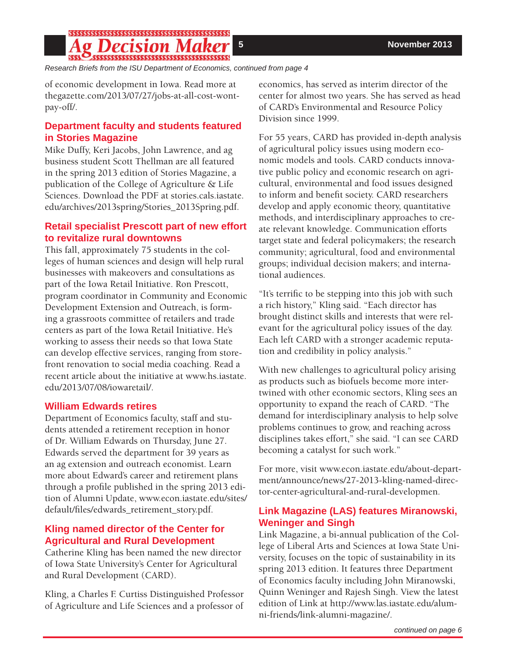## **g Decision Maker**

*Research Briefs from the ISU Department of Economics, continued from page 4*

of economic development in Iowa. Read more at thegazette.com/2013/07/27/jobs-at-all-cost-wontpay-off/.

## **Department faculty and students featured in Stories Magazine**

Mike Duffy, Keri Jacobs, John Lawrence, and ag business student Scott Thellman are all featured in the spring 2013 edition of Stories Magazine, a publication of the College of Agriculture & Life Sciences. Download the PDF at stories.cals.iastate. edu/archives/2013spring/Stories\_2013Spring.pdf.

# **Retail specialist Prescott part of new effort to revitalize rural downtowns**

This fall, approximately 75 students in the colleges of human sciences and design will help rural businesses with makeovers and consultations as part of the Iowa Retail Initiative. Ron Prescott, program coordinator in Community and Economic Development Extension and Outreach, is forming a grassroots committee of retailers and trade centers as part of the Iowa Retail Initiative. He's working to assess their needs so that Iowa State can develop effective services, ranging from storefront renovation to social media coaching. Read a recent article about the initiative at www.hs.iastate. edu/2013/07/08/iowaretail/.

### **William Edwards retires**

Department of Economics faculty, staff and students attended a retirement reception in honor of Dr. William Edwards on Thursday, June 27. Edwards served the department for 39 years as an ag extension and outreach economist. Learn more about Edward's career and retirement plans through a profile published in the spring 2013 edition of Alumni Update, www.econ.iastate.edu/sites/ default/files/edwards\_retirement\_story.pdf.

# **Kling named director of the Center for Agricultural and Rural Development**

Catherine Kling has been named the new director of Iowa State University's Center for Agricultural and Rural Development (CARD).

Kling, a Charles F. Curtiss Distinguished Professor of Agriculture and Life Sciences and a professor of economics, has served as interim director of the center for almost two years. She has served as head of CARD's Environmental and Resource Policy Division since 1999.

For 55 years, CARD has provided in-depth analysis of agricultural policy issues using modern economic models and tools. CARD conducts innovative public policy and economic research on agricultural, environmental and food issues designed to inform and benefit society. CARD researchers develop and apply economic theory, quantitative methods, and interdisciplinary approaches to create relevant knowledge. Communication efforts target state and federal policymakers; the research community; agricultural, food and environmental groups; individual decision makers; and international audiences.

"It's terrific to be stepping into this job with such a rich history," Kling said. "Each director has brought distinct skills and interests that were relevant for the agricultural policy issues of the day. Each left CARD with a stronger academic reputation and credibility in policy analysis."

With new challenges to agricultural policy arising as products such as biofuels become more intertwined with other economic sectors, Kling sees an opportunity to expand the reach of CARD. "The demand for interdisciplinary analysis to help solve problems continues to grow, and reaching across disciplines takes effort," she said. "I can see CARD becoming a catalyst for such work."

For more, visit www.econ.iastate.edu/about-department/announce/news/27-2013-kling-named-director-center-agricultural-and-rural-developmen.

### **Link Magazine (LAS) features Miranowski, Weninger and Singh**

Link Magazine, a bi-annual publication of the College of Liberal Arts and Sciences at Iowa State University, focuses on the topic of sustainability in its spring 2013 edition. It features three Department of Economics faculty including John Miranowski, Quinn Weninger and Rajesh Singh. View the latest edition of Link at http://www.las.iastate.edu/alumni-friends/link-alumni-magazine/.